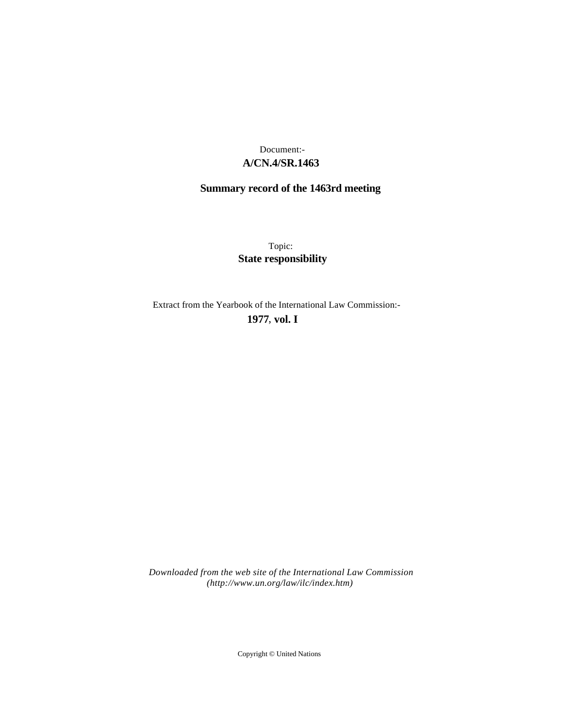## **A/CN.4/SR.1463** Document:-

# **Summary record of the 1463rd meeting**

Topic: **State responsibility**

Extract from the Yearbook of the International Law Commission:-

**1977** , **vol. I**

*Downloaded from the web site of the International Law Commission (http://www.un.org/law/ilc/index.htm)*

Copyright © United Nations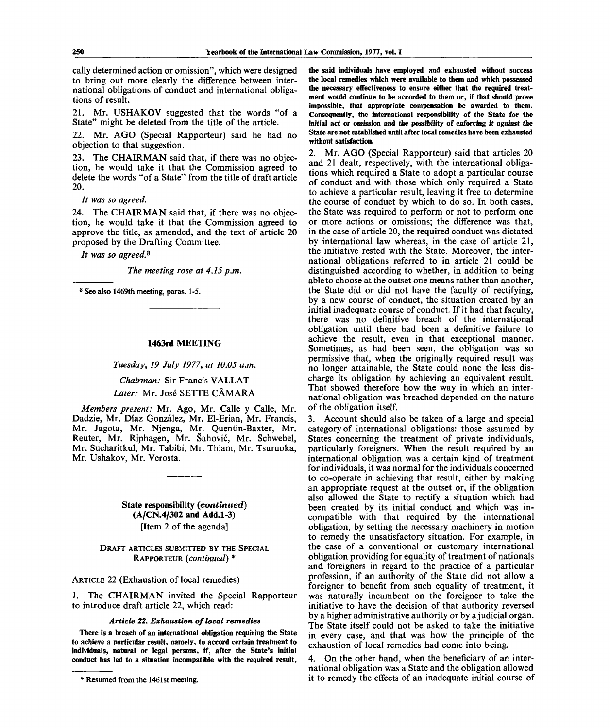cally determined action or omission", which were designed to bring out more clearly the difference between international obligations of conduct and international obligations of result.

21. Mr. USHAKOV suggested that the words "of a State" might be deleted from the title of the article.

22. Mr. AGO (Special Rapporteur) said he had no objection to that suggestion.

23. The CHAIRMAN said that, if there was no objection, he would take it that the Commission agreed to delete the words "of a State" from the title of draft article 20.

*It was so agreed.*

24. The CHAIRMAN said that, if there was no objection, he would take it that the Commission agreed to approve the title, as amended, and the text of article 20 proposed by the Drafting Committee.

*It was so agreed.<sup>3</sup>*

*The meeting rose at 4.15 p.m.*

**3 See also 1469th meeting, paras. 1-5.**

#### 1463rd MEETING

*Tuesday, 19 July 1977, at 10.05 a.m.*

### *Chairman:* Sir Francis VALLAT *Later:* Mr. Jose SETTE CAMARA

*Members present:* Mr. Ago, Mr. Calle y Calle, Mr. Dadzie, Mr. Diaz Gonzalez, Mr. El-Erian, Mr. Francis, Mr. Jagota, Mr. Njenga, Mr. Quentin-Baxter, Mr. Reuter, Mr. Riphagen, Mr. Sahovic, Mr. Schwebel, Mr. Sucharitkul, Mr. Tabibi, Mr. Thiam, Mr. Tsuruoka, Mr. Ushakov, Mr. Verosta.

> State responsibility *(continued)* (A/CN.4/302 and Add.1-3) [Item 2 of the agenda]

DRAFT ARTICLES SUBMITTED BY THE SPECIAL RAPPORTEUR *(continued) \**

ARTICLE 22 (Exhaustion of local remedies)

1. The CHAIRMAN invited the Special Rapporteur to introduce draft article 22, which read:

*Article 22. Exhaustion of local remedies*

**There is a breach of an international obligation requiring the State** *to* **achieve a particular result, namely, to accord certain treatment to individuals, natural or legal persons, if, after the State's initial conduct has led to a situation incompatible with the required result,**

**the said individuals have employed and exhausted without success the local remedies which were available to them and which possessed the necessary effectiveness to ensure either that the required treatment would continue to be accorded to them or, if that should prove impossible, that appropriate compensation be awarded to them. Consequently, the international responsibility of the State for the initial act or omission and the possibility of enforcing it against the State are not established until after local remedies have been exhausted without satisfaction.**

2. Mr. AGO (Special Rapporteur) said that articles 20 and 21 dealt, respectively, with the international obligations which required a State to adopt a particular course of conduct and with those which only required a State to achieve a particular result, leaving it free to determine the course of conduct by which to do so. In both cases, the State was required to perform or not to perform one or more actions or omissions; the difference was that, in the case of article 20, the required conduct was dictated by international law whereas, in the case of article 21, the initiative rested with the State. Moreover, the international obligations referred to in article 21 could be distinguished according to whether, in addition to being able to choose at the outset one means rather than another, the State did or did not have the faculty of rectifying, by a new course of conduct, the situation created by an initial inadequate course of conduct. If it had that faculty, there was no definitive breach of the international obligation until there had been a definitive failure to achieve the result, even in that exceptional manner. Sometimes, as had been seen, the obligation was so permissive that, when the originally required result was no longer attainable, the State could none the less discharge its obligation by achieving an equivalent result. That showed therefore how the way in which an international obligation was breached depended on the nature of the obligation itself.

3. Account should also be taken of a large and special category of international obligations: those assumed by States concerning the treatment of private individuals, particularly foreigners. When the result required by an international obligation was a certain kind of treatment for individuals, it was normal for the individuals concerned to co-operate in achieving that result, either by making an appropriate request at the outset or, if the obligation also allowed the State to rectify a situation which had been created by its initial conduct and which was incompatible with that required by the international obligation, by setting the necessary machinery in motion to remedy the unsatisfactory situation. For example, in the case of a conventional or customary international obligation providing for equality of treatment of nationals and foreigners in regard to the practice of a particular profession, if an authority of the State did not allow a foreigner to benefit from such equality of treatment, it was naturally incumbent on the foreigner to take the initiative to have the decision of that authority reversed by a higher administrative authority or by a judicial organ. The State itself could not be asked to take the initiative in every case, and that was how the principle of the exhaustion of local remedies had come into being.

On the other hand, when the beneficiary of an international obligation was a State and the obligation allowed it to remedy the effects of an inadequate initial course of

**Resumed from the 1461st meeting.**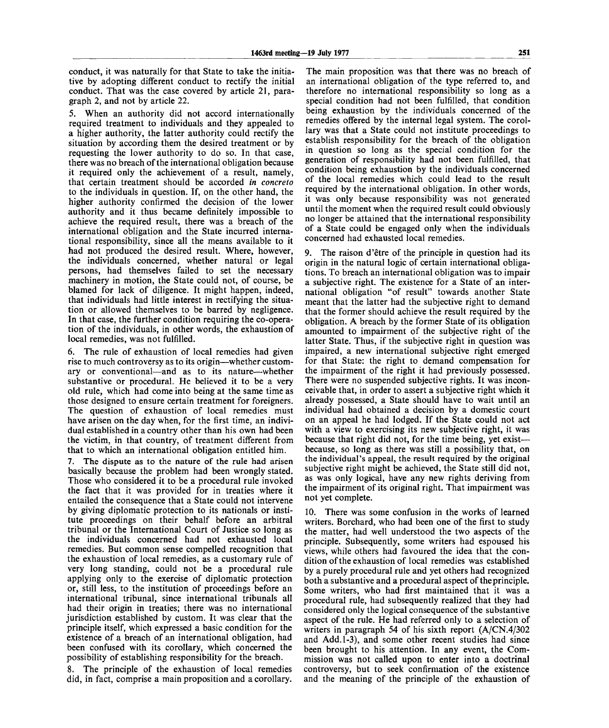conduct, it was naturally for that State to take the initiative by adopting different conduct to rectify the initial conduct. That was the case covered by article 21, paragraph 2, and not by article 22.

5. When an authority did not accord internationally required treatment to individuals and they appealed to a higher authority, the latter authority could rectify the situation by according them the desired treatment or by requesting the lower authority to do so. In that case, there was no breach of the international obligation because it required only the achievement of a result, namely, that certain treatment should be accorded *in concreto* to the individuals in question. If, on the other hand, the higher authority confirmed the decision of the lower authority and it thus became definitely impossible to achieve the required result, there was a breach of the international obligation and the State incurred international responsibility, since all the means available to it had not produced the desired result. Where, however, the individuals concerned, whether natural or legal persons, had themselves failed to set the necessary machinery in motion, the State could not, of course, be blamed for lack of diligence. It might happen, indeed, that individuals had little interest in rectifying the situation or allowed themselves to be barred by negligence. In that case, the further condition requiring the co-operation of the individuals, in other words, the exhaustion of local remedies, was not fulfilled.

6. The rule of exhaustion of local remedies had given rise to much controversy as to its origin—whether customary or conventional—and as to its nature—whether substantive or procedural. He believed it to be a very old rule, which had come into being at the same time as those designed to ensure certain treatment for foreigners. The question of exhaustion of local remedies must have arisen on the day when, for the first time, an individual established in a country other than his own had been the victim, in that country, of treatment different from that to which an international obligation entitled him.

7. The dispute as to the nature of the rule had arisen basically because the problem had been wrongly stated. Those who considered it to be a procedural rule invoked the fact that it was provided for in treaties where it entailed the consequence that a State could not intervene by giving diplomatic protection to its nationals or institute proceedings on their behalf before an arbitral tribunal or the International Court of Justice so long as the individuals concerned had not exhausted local remedies. But common sense compelled recognition that the exhaustion of local remedies, as a customary rule of very long standing, could not be a procedural rule applying only to the exercise of diplomatic protection or, still less, to the institution of proceedings before an international tribunal, since international tribunals all had their origin in treaties; there was no international jurisdiction established by custom. It was clear that the principle itself, which expressed a basic condition for the existence of a breach of an international obligation, had been confused with its corollary, which concerned the possibility of establishing responsibility for the breach.

8. The principle of the exhaustion of local remedies did, in fact, comprise a main proposition and a corollary.

The main proposition was that there was no breach of an international obligation of the type referred to, and therefore no international responsibility so long as a special condition had not been fulfilled, that condition being exhaustion by the individuals concerned of the remedies offered by the internal legal system. The corollary was that a State could not institute proceedings to establish responsibility for the breach of the obligation in question so long as the special condition for the generation of responsibility had not been fulfilled, that condition being exhaustion by the individuals concerned of the local remedies which could lead to the result required by the international obligation. In other words, it was only because responsibility was not generated until the moment when the required result could obviously no longer be attained that the international responsibility of a State could be engaged only when the individuals concerned had exhausted local remedies.

9. The raison d'etre of the principle in question had its origin in the natural logic of certain international obligations. To breach an international obligation was to impair a subjective right. The existence for a State of an international obligation "of result" towards another State meant that the latter had the subjective right to demand that the former should achieve the result required by the obligation. A breach by the former State of its obligation amounted to impairment of the subjective right of the latter State. Thus, if the subjective right in question was impaired, a new international subjective right emerged for that State: the right to demand compensation for the impairment of the right it had previously possessed. There were no suspended subjective rights. It was inconceivable that, in order to assert a subjective right which it already possessed, a State should have to wait until an individual had obtained a decision by a domestic court on an appeal he had lodged. If the State could not act with a view to exercising its new subjective right, it was because that right did not, for the time being, yet exist because, so long as there was still a possibility that, on the individual's appeal, the result required by the original subjective right might be achieved, the State still did not, as was only logical, have any new rights deriving from the impairment of its original right. That impairment was not yet complete.

10. There was some confusion in the works of learned writers. Borchard, who had been one of the first to study the matter, had well understood the two aspects of the principle. Subsequently, some writers had espoused his views, while others had favoured the idea that the condition of the exhaustion of local remedies was established by a purely procedural rule and yet others had recognized both a substantive and a procedural aspect of the principle. Some writers, who had first maintained that it was a procedural rule, had subsequently realized that they had considered only the logical consequence of the substantive aspect of the rule. He had referred only to a selection of writers in paragraph 54 of his sixth report (A/CN.4/302 and Add. 1-3), and some other recent studies had since been brought to his attention. In any event, the Commission was not called upon to enter into a doctrinal controversy, but to seek confirmation of the existence and the meaning of the principle of the exhaustion of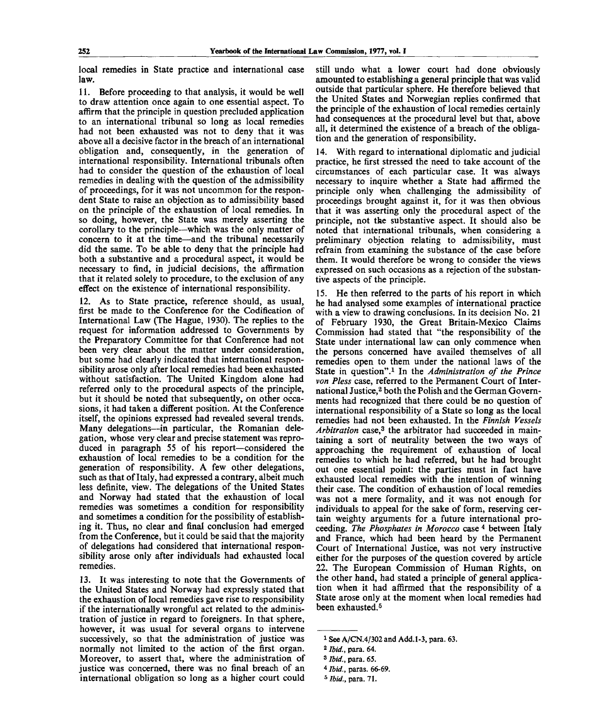local remedies in State practice and international case law.

11. Before proceeding to that analysis, it would be well to draw attention once again to one essential aspect. To affirm that the principle in question precluded application to an international tribunal so long as local remedies had not been exhausted was not to deny that it was above all a decisive factor in the breach of an international obligation and, consequently, in the generation of international responsibility. International tribunals often had to consider the question of the exhaustion of local remedies in dealing with the question of the admissibility of proceedings, for it was not uncommon for the respondent State to raise an objection as to admissibility based on the principle of the exhaustion of local remedies. In so doing, however, the State was merely asserting the corollary to the principle—which was the only matter of concern to it at the time—and the tribunal necessarily did the same. To be able to deny that the principle had both a substantive and a procedural aspect, it would be necessary to find, in judicial decisions, the affirmation that it related solely to procedure, to the exclusion of any effect on the existence of international responsibility.

12. As to State practice, reference should, as usual, first be made to the Conference for the Codification of International Law (The Hague, 1930). The replies to the request for information addressed to Governments by the Preparatory Committee for that Conference had not been very clear about the matter under consideration, but some had clearly indicated that international responsibility arose only after local remedies had been exhausted without satisfaction. The United Kingdom alone had referred only to the procedural aspects of the principle, but it should be noted that subsequently, on other occasions, it had taken a different position. At the Conference itself, the opinions expressed had revealed several trends. Many delegations—in particular, the Romanian delegation, whose very clear and precise statement was reproduced in paragraph 55 of his report—considered the exhaustion of local remedies to be a condition for the generation of responsibility. A few other delegations, such as that of Italy, had expressed a contrary, albeit much less definite, view. The delegations of the United States and Norway had stated that the exhaustion of local remedies was sometimes a condition for responsibility and sometimes a condition for the possibility of establishing it. Thus, no clear and final conclusion had emerged from the Conference, but it could be said that the majority of delegations had considered that international responsibility arose only after individuals had exhausted local remedies.

13. It was interesting to note that the Governments of the United States and Norway had expressly stated that the exhaustion of local remedies gave rise to responsibility if the internationally wrongful act related to the administration of justice in regard to foreigners. In that sphere, however, it was usual for several organs to intervene successively, so that the administration of justice was normally not limited to the action of the first organ. Moreover, to assert that, where the administration of justice was concerned, there was no final breach of an international obligation so long as a higher court could

still undo what a lower court had done obviously amounted to establishing a general principle that was valid outside that particular sphere. He therefore believed that the United States and Norwegian replies confirmed that the principle of the exhaustion of local remedies certainly had consequences at the procedural level but that, above all, it determined the existence of a breach of the obligation and the generation of responsibility.

14. With regard to international diplomatic and judicial practice, he first stressed the need to take account of the circumstances of each particular case. It was always necessary to inquire whether a State had affirmed the principle only when challenging the admissibility of proceedings brought against it, for it was then obvious that it was asserting only the procedural aspect of the principle, not the substantive aspect. It should also be noted that international tribunals, when considering a preliminary objection relating to admissibility, must refrain from examining the substance of the case before them. It would therefore be wrong to consider the views expressed on such occasions as a rejection of the substantive aspects of the principle.

15. He then referred to the parts of his report in which he had analysed some examples of international practice with a view to drawing conclusions. In its decision No. 21 of February 1930, the Great Britain-Mexico Claims Commission had stated that "the responsibility of the State under international law can only commence when the persons concerned have availed themselves of all remedies open to them under the national laws of the State in question".<sup>1</sup> In the *Administration of the Prince von Pless* case, referred to the Permanent Court of International Justice,<sup>2</sup> both the Polish and the German Governments had recognized that there could be no question of international responsibility of a State so long as the local remedies had not been exhausted. In the *Finnish Vessels* Arbitration case,<sup>3</sup> the arbitrator had succeeded in maintaining a sort of neutrality between the two ways of approaching the requirement of exhaustion of local remedies to which he had referred, but he had brought out one essential point: the parties must in fact have exhausted local remedies with the intention of winning their case. The condition of exhaustion of local remedies was not a mere formality, and it was not enough for individuals to appeal for the sake of form, reserving certain weighty arguments for a future international proceeding. *The Phosphates in Morocco* case <sup>4</sup> between Italy and France, which had been heard by the Permanent Court of International Justice, was not very instructive either for the purposes of the question covered by article 22. The European Commission of Human Rights, on the other hand, had stated a principle of general application when it had affirmed that the responsibility of a State arose only at the moment when local remedies had been exhausted.<sup>5</sup>

<sup>1</sup> See A/CN.4/302 and Add.1-3, para. 63.

<sup>2</sup>  *Ibid.,* para. 64.

<sup>3</sup>  *Ibid.,* para. 65.

<sup>4</sup>  *Ibid.,* paras. 66-69.

<sup>5</sup>  *Ibid.,* para. 71.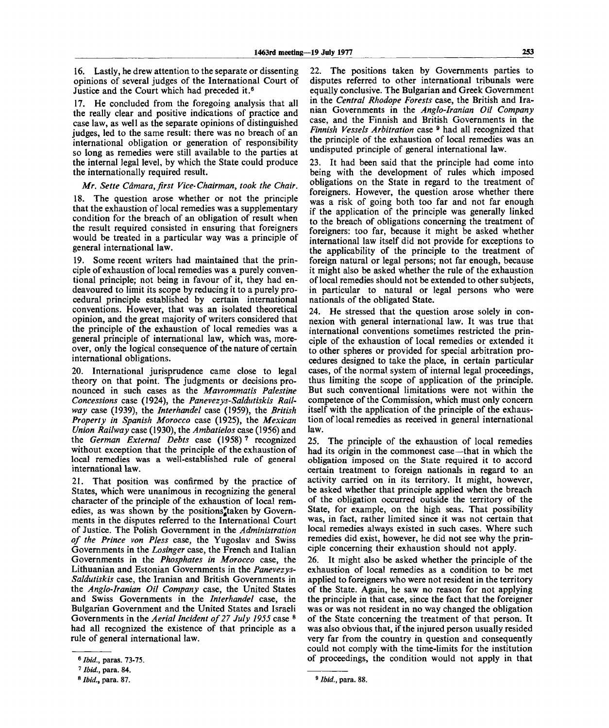16. Lastly, he drew attention to the separate or dissenting opinions of several judges of the International Court of Justice and the Court which had preceded it.<sup>6</sup>

17. He concluded from the foregoing analysis that all the really clear and positive indications of practice and case law, as well as the separate opinions of distinguished judges, led to the same result: there was no breach of an international obligation or generation of responsibility so long as remedies were still available to the parties at the internal legal level, by which the State could produce the internationally required result.

#### *Mr. Sette Cdmara, first Vice-Chairman, took the Chair.*

18. The question arose whether or not the principle that the exhaustion of local remedies was a supplementary condition for the breach of an obligation of result when the result required consisted in ensuring that foreigners would be treated in a particular way was a principle of general international law.

19. Some recent writers had maintained that the principle of exhaustion of local remedies was a purely conventional principle; not being in favour of it, they had endeavoured to limit its scope by reducing it to a purely procedural principle established by certain international conventions. However, that was an isolated theoretical opinion, and the great majority of writers considered that the principle of the exhaustion of local remedies was a general principle of international law, which was, moreover, only the logical consequence of the nature of certain international obligations.

20. International jurisprudence came close to legal theory on that point. The judgments or decisions pronounced in such cases as the *Mavrommatis Palestine Concessions* case (1924), the *Panevezys-Saldutiskis Railway* case (1939), the *Interhandel* case (1959), the *British Property in Spanish Morocco* case (1925), the *Mexican Union Railway* case (1930), the *Ambatielos* case (1956) and the *German External Debts* case (1958) <sup>7</sup> recognized without exception that the principle of the exhaustion of local remedies was a well-established rule of general international law.

21. That position was confirmed by the practice of States, which were unanimous in recognizing the general character of the principle of the exhaustion of local remedies, as was shown by the positions<sup>T</sup> taken by Governments in the disputes referred to the International Court of Justice. The Polish Government in the *Administration of the Prince von Pless* case, the Yugoslav and Swiss Governments in the *Losinger* case, the French and Italian Governments in the *Phosphates in Morocco* case, the Lithuanian and Estonian Governments in the *Panevezys-Saldutiskis* case, the Iranian and British Governments in the *Anglo-Iranian Oil Company* case, the United States and Swiss Governments in the *Interhandel* case, the Bulgarian Government and the United States and Israeli Governments in the *Aerial Incident of 27 July 1955* case 8 had all recognized the existence of that principle as a rule of general international law.

22. The positions taken by Governments parties to disputes referred to other international tribunals were equally conclusive. The Bulgarian and Greek Government in the *Central Rhodope Forests* case, the British and Iranian Governments in the *Anglo-Iranian Oil Company* case, and the Finnish and British Governments in the *Finnish Vessels Arbitration* case <sup>9</sup> had all recognized that the principle of the exhaustion of local remedies was an undisputed principle of general international law.

23. It had been said that the principle had come into being with the development of rules which imposed obligations on the State in regard to the treatment of foreigners. However, the question arose whether there was a risk of going both too far and not far enough if the application of the principle was generally linked to the breach of obligations concerning the treatment of foreigners: too far, because it might be asked whether international law itself did not provide for exceptions to the applicability of the principle to the treatment of foreign natural or legal persons; not far enough, because it might also be asked whether the rule of the exhaustion of local remedies should not be extended to other subjects, in particular to natural or legal persons who were nationals of the obligated State.

24. He stressed that the question arose solely in connexion with general international law. It was true that international conventions sometimes restricted the principle of the exhaustion of local remedies or extended it to other spheres or provided for special arbitration procedures designed to take the place, in certain particular cases, of the normal system of internal legal proceedings, thus limiting the scope of application of the principle. But such conventional limitations were not within the competence of the Commission, which must only concern itself with the application of the principle of the exhaustion of local remedies as received in general international law.

25. The principle of the exhaustion of local remedies had its origin in the commonest case—that in which the obligation imposed on the State required it to accord certain treatment to foreign nationals in regard to an activity carried on in its territory. It might, however, be asked whether that principle applied when the breach of the obligation occurred outside the territory of the State, for example, on the high seas. That possibility was, in fact, rather limited since it was not certain that local remedies always existed in such cases. Where such remedies did exist, however, he did not see why the principle concerning their exhaustion should not apply.

26. It might also be asked whether the principle of the exhaustion of local remedies as a condition to be met applied to foreigners who were not resident in the territory of the State. Again, he saw no reason for not applying the principle in that case, since the fact that the foreigner was or was not resident in no way changed the obligation of the State concerning the treatment of that person. It was also obvious that, if the injured person usually resided very far from the country in question and consequently could not comply with the time-limits for the institution of proceedings, the condition would not apply in that

<sup>6</sup>  *Ibid.,* paras. 73-75.

<sup>7</sup>  *Ibid.,* para. 84.

<sup>8</sup>  *Ibid.,* para. 87.

<sup>9</sup>  *Ibid.,* para. 88.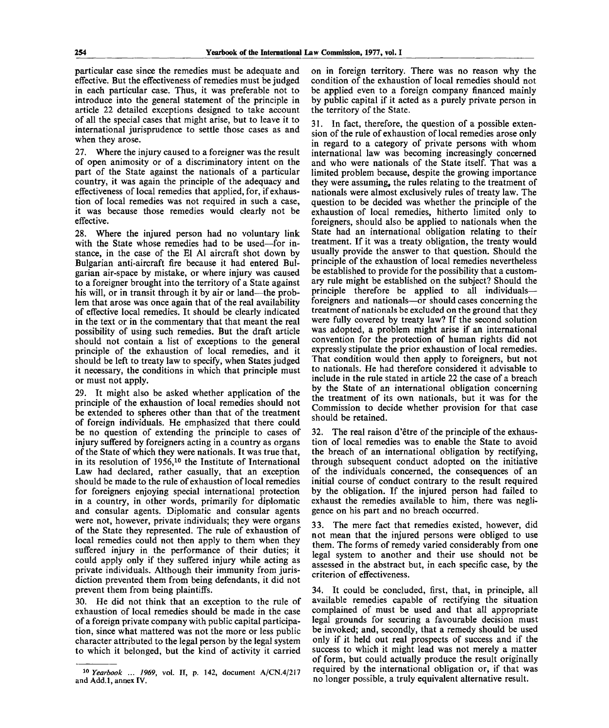particular case since the remedies must be adequate and effective. But the effectiveness of remedies must be judged in each particular case. Thus, it was preferable not to introduce into the general statement of the principle in article 22 detailed exceptions designed to take account of all the special cases that might arise, but to leave it to international jurisprudence to settle those cases as and when they arose.

27. Where the injury caused to a foreigner was the result of open animosity or of a discriminatory intent on the part of the State against the nationals of a particular country, it was again the principle of the adequacy and effectiveness of local remedies that applied, for, if exhaustion of local remedies was not required in such a case, it was because those remedies would clearly not be effective.

28. Where the injured person had no voluntary link with the State whose remedies had to be used—for instance, in the case of the El Al aircraft shot down by Bulgarian anti-aircraft fire because it had entered Bulgarian air-space by mistake, or where injury was caused to a foreigner brought into the territory of a State against his will, or in transit through it by air or land—the problem that arose was once again that of the real availability of effective local remedies. It should be clearly indicated in the text or in the commentary that that meant the real possibility of using such remedies. But the draft article should not contain a list of exceptions to the general principle of the exhaustion of local remedies, and it should be left to treaty law to specify, when States judged it necessary, the conditions in which that principle must or must not apply.

29. It might also be asked whether application of the principle of the exhaustion of local remedies should not be extended to spheres other than that of the treatment of foreign individuals. He emphasized that there could be no question of extending the principle to cases of injury suffered by foreigners acting in a country as organs of the State of which they were nationals. It was true that, in its resolution of 1956,<sup>10</sup> the Institute of International Law had declared, rather casually, that an exception should be made to the rule of exhaustion of local remedies for foreigners enjoying special international protection in a country, in other words, primarily for diplomatic and consular agents. Diplomatic and consular agents were not, however, private individuals; they were organs of the State they represented. The rule of exhaustion of local remedies could not then apply to them when they suffered injury in the performance of their duties; it could apply only if they suffered injury while acting as private individuals. Although their immunity from jurisdiction prevented them from being defendants, it did not prevent them from being plaintiffs.

30. He did not think that an exception to the rule of exhaustion of local remedies should be made in the case of a foreign private company with public capital participation, since what mattered was not the more or less public character attributed to the legal person by the legal system to which it belonged, but the kind of activity it carried

on in foreign territory. There was no reason why the condition of the exhaustion of local remedies should not be applied even to a foreign company financed mainly by public capital if it acted as a purely private person in the territory of the State.

31. In fact, therefore, the question of a possible extension of the rule of exhaustion of local remedies arose only in regard to a category of private persons with whom international law was becoming increasingly concerned and who were nationals of the State itself. That was a limited problem because, despite the growing importance they were assuming, the rules relating to the treatment of nationals were almost exclusively rules of treaty law. The question to be decided was whether the principle of the exhaustion of local remedies, hitherto limited only to foreigners, should also be applied to nationals when the State had an international obligation relating to their treatment. If it was a treaty obligation, the treaty would usually provide the answer to that question. Should the principle of the exhaustion of local remedies nevertheless be established to provide for the possibility that a customary rule might be established on the subject? Should the principle therefore be applied to all individuals foreigners and nationals—or should cases concerning the treatment of nationals be excluded on the ground that they were fully covered by treaty law? If the second solution was adopted, a problem might arise if an international convention for the protection of human rights did not expressly stipulate the prior exhaustion of local remedies. That condition would then apply to foreigners, but not to nationals. He had therefore considered it advisable to include in the rule stated in article 22 the case of a breach by the State of an international obligation concerning the treatment of its own nationals, but it was for the Commission to decide whether provision for that case should be retained.

32. The real raison d'etre of the principle of the exhaustion of local remedies was to enable the State to avoid the breach of an international obligation by rectifying, through subsequent conduct adopted on the initiative of the individuals concerned, the consequences of an initial course of conduct contrary to the result required by the obligation. If the injured person had failed to exhaust the remedies available to him, there was negligence on his part and no breach occurred.

33. The mere fact that remedies existed, however, did not mean that the injured persons were obliged to use them. The forms of remedy varied considerably from one legal system to another and their use should not be assessed in the abstract but, in each specific case, by the criterion of effectiveness.

34. It could be concluded, first, that, in principle, all available remedies capable of rectifying the situation complained of must be used and that all appropriate legal grounds for securing a favourable decision must be invoked; and, secondly, that a remedy should be used only if it held out real prospects of success and if the success to which it might lead was not merely a matter of form, but could actually produce the result originally required by the international obligation or, if that was no longer possible, a truly equivalent alternative result.

<sup>10</sup>  *Yearbook ... 1969,* vol. II, p. 142, document A/CN.4/217 and Add.l, annex IV.